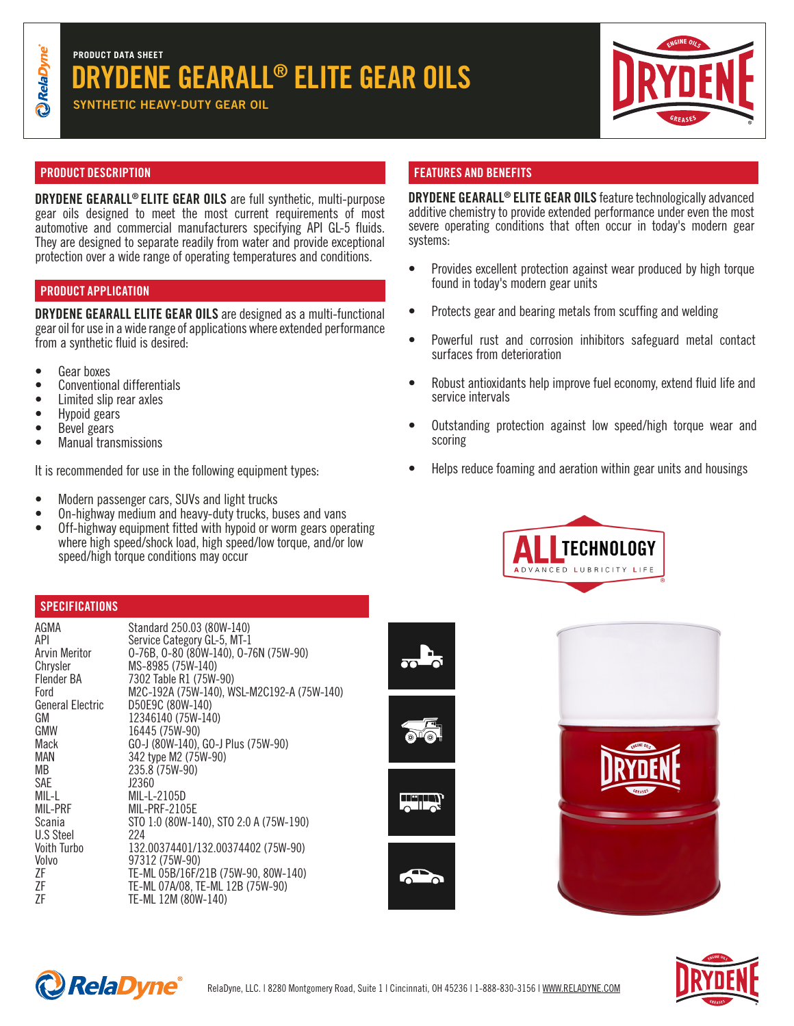# DRYDENE GEARALL® ELITE GEAR OILS **PRODUCT DATA SHEET**

SYNTHETIC HEAVY-DUTY GEAR OIL (75%-90, 75%-90, 75%-90, 75%-90, 75%-90, 75%-90, 75%-90, 75%-90, 75%-90, 75%-90



DRYDENE GEARALL® ELITE GEAR OILS feature technologically advanced additive chemistry to provide extended performance under even the most severe operating conditions that often occur in today's modern gear

• Provides excellent protection against wear produced by high torque

• Powerful rust and corrosion inhibitors safeguard metal contact

• Robust antioxidants help improve fuel economy, extend fluid life and

• Outstanding protection against low speed/high torque wear and

• Helps reduce foaming and aeration within gear units and housings

**TECHNOLOGY** 

• Protects gear and bearing metals from scuffing and welding

found in today's modern gear units

surfaces from deterioration

service intervals

scoring

## PRODUCT DESCRIPTION FEATURES AND BENEFITS

DRYDENE GEARALL® ELITE GEAR OILS are full synthetic, multi-purpose gear oils designed to meet the most current requirements of most automotive and commercial manufacturers specifying API GL-5 fluids. They are designed to separate readily from water and provide exceptional protection over a wide range of operating temperatures and conditions.

# PRODUCT APPLICATION

DRYDENE GEARALL ELITE GEAR OILS are designed as a multi-functional gear oil for use in a wide range of applications where extended performance from a synthetic fluid is desired:

- 
- Gear boxes<br>• Conventional differentials<br>• Limited slip rear axles<br>• Hypoid gears<br>• Bevel gears
- 
- 
- 
- Manual transmissions

It is recommended for use in the following equipment types:

- Modern passenger cars, SUVs and light trucks
- On-highway medium and heavy-duty trucks, buses and vans
- Off-highway equipment fitted with hypoid or worm gears operating where high speed/shock load, high speed/low torque, and/or low speed/high torque conditions may occur

## **SPECIFICATIONS**

| AGMA<br>API<br>Arvin Meritor<br>Chrysler<br>Flender BA<br>Ford<br>General Electric<br>GM<br>GMW<br>Mack<br>MAN<br>MВ<br>SAE<br>MIL-L<br>MIL-PRF<br>Scania<br>U.S Steel<br>Voith Turbo<br>Volvo<br>ΖF<br>ΖF<br>ΖF | Standard 250.03 (80W-140)<br>Service Category GL-5, MT-1<br>0-76B, 0-80 (80W-140), 0-76N (75W-90)<br>MS-8985 (75W-140)<br>7302 Table R1 (75W-90)<br>M2C-192A (75W-140), WSL-M2C192-A (75W-140)<br>D50E9C (80W-140)<br>12346140 (75W-140)<br>16445 (75W-90)<br>GO-J (80W-140), GO-J Plus (75W-90)<br>342 type M2 (75W-90)<br>235.8 (75W-90)<br>J2360<br>MIL-L-2105D<br>MIL-PRF-2105E<br>STO 1:0 (80W-140), STO 2:0 A (75W-190)<br>224<br>132.00374401/132.00374402 (75W-90)<br>97312 (75W-90)<br>TE-ML 05B/16F/21B (75W-90, 80W-140)<br>TE-ML 07A/08, TE-ML 12B (75W-90)<br>TE-ML 12M (80W-140) |
|------------------------------------------------------------------------------------------------------------------------------------------------------------------------------------------------------------------|------------------------------------------------------------------------------------------------------------------------------------------------------------------------------------------------------------------------------------------------------------------------------------------------------------------------------------------------------------------------------------------------------------------------------------------------------------------------------------------------------------------------------------------------------------------------------------------------|
|                                                                                                                                                                                                                  |                                                                                                                                                                                                                                                                                                                                                                                                                                                                                                                                                                                                |
|                                                                                                                                                                                                                  |                                                                                                                                                                                                                                                                                                                                                                                                                                                                                                                                                                                                |



systems: